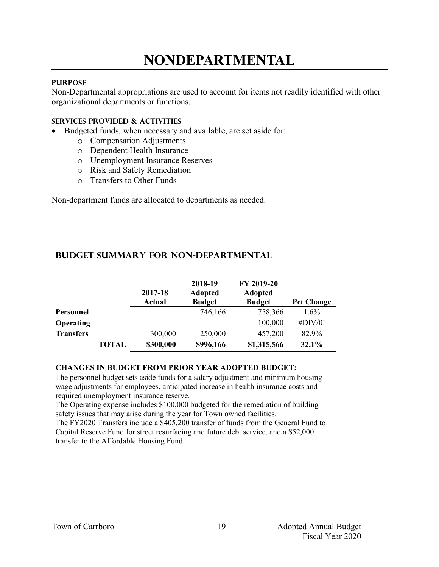# **NONDEPARTMENTAL**

### **PURPOSE**

Non-Departmental appropriations are used to account for items not readily identified with other organizational departments or functions.

#### **Services provided & activities**

- Budgeted funds, when necessary and available, are set aside for:
	- o Compensation Adjustments
	- o Dependent Health Insurance
	- o Unemployment Insurance Reserves
	- o Risk and Safety Remediation
	- o Transfers to Other Funds

Non-department funds are allocated to departments as needed.

|                  |              | 2017-18<br>Actual | 2018-19<br><b>Adopted</b><br><b>Budget</b> | FY 2019-20<br><b>Adopted</b><br><b>Budget</b> | <b>Pct Change</b> |
|------------------|--------------|-------------------|--------------------------------------------|-----------------------------------------------|-------------------|
| Personnel        |              |                   | 746,166                                    | 758,366                                       | $1.6\%$           |
| <b>Operating</b> |              |                   |                                            | 100,000                                       | #DIV/0!           |
| <b>Transfers</b> |              | 300,000           | 250,000                                    | 457,200                                       | 82.9%             |
|                  | <b>TOTAL</b> | \$300,000         | \$996,166                                  | \$1,315,566                                   | 32.1%             |

## **Budget summary for non-departmental**

#### **CHANGES IN BUDGET FROM PRIOR YEAR ADOPTED BUDGET:**

The personnel budget sets aside funds for a salary adjustment and minimum housing wage adjustments for employees, anticipated increase in health insurance costs and required unemployment insurance reserve.

The Operating expense includes \$100,000 budgeted for the remediation of building safety issues that may arise during the year for Town owned facilities.

The FY2020 Transfers include a \$405,200 transfer of funds from the General Fund to Capital Reserve Fund for street resurfacing and future debt service, and a \$52,000 transfer to the Affordable Housing Fund.